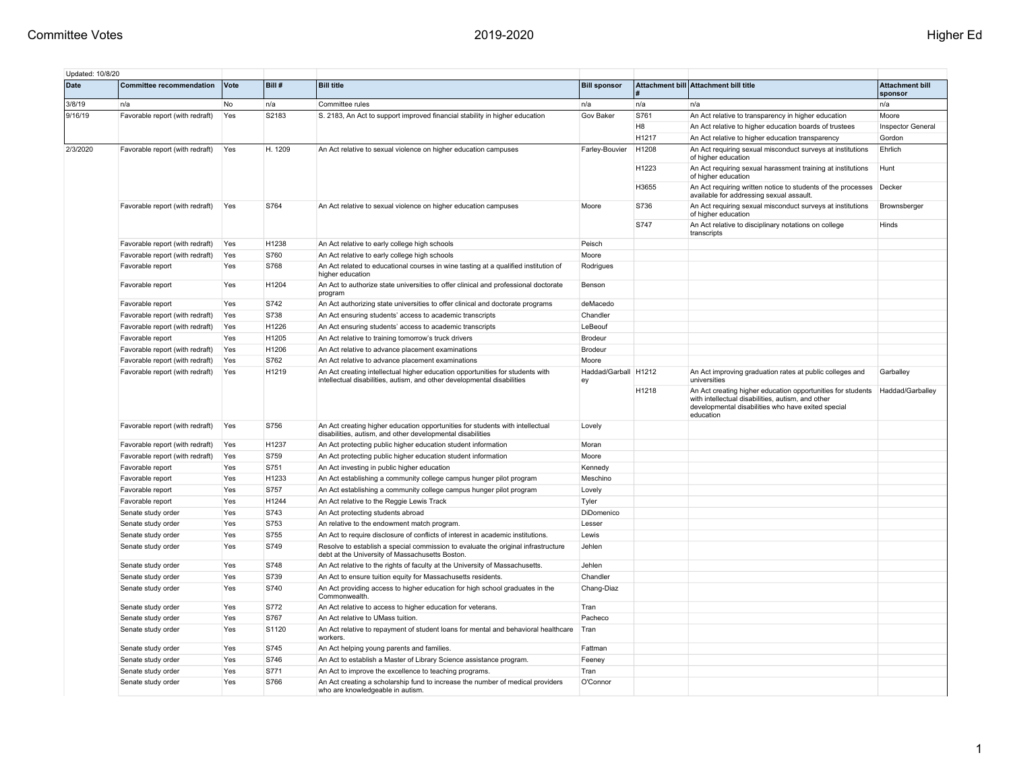| Updated: 10/8/20 |                                 |      |         |                                                                                                                                                          |                            |                |                                                                                                                                                                                     |                                   |
|------------------|---------------------------------|------|---------|----------------------------------------------------------------------------------------------------------------------------------------------------------|----------------------------|----------------|-------------------------------------------------------------------------------------------------------------------------------------------------------------------------------------|-----------------------------------|
| Date             | <b>Committee recommendation</b> | Vote | Bill #  | <b>Bill title</b>                                                                                                                                        | <b>Bill sponsor</b>        |                | Attachment bill Attachment bill title                                                                                                                                               | <b>Attachment bill</b><br>sponsor |
| 3/8/19           | n/a                             | No   | n/a     | Committee rules                                                                                                                                          | n/a                        | n/a            | n/a                                                                                                                                                                                 | n/a                               |
| 9/16/19          | Favorable report (with redraft) | Yes  | S2183   | S. 2183, An Act to support improved financial stability in higher education                                                                              | <b>Gov Baker</b>           | S761           | An Act relative to transparency in higher education                                                                                                                                 | Moore                             |
|                  |                                 |      |         |                                                                                                                                                          |                            | H <sub>8</sub> | An Act relative to higher education boards of trustees                                                                                                                              | <b>Inspector General</b>          |
|                  |                                 |      |         |                                                                                                                                                          |                            | H1217          | An Act relative to higher education transparency                                                                                                                                    | Gordon                            |
| 2/3/2020         | Favorable report (with redraft) | Yes  | H. 1209 | An Act relative to sexual violence on higher education campuses                                                                                          | Farley-Bouvier             | H1208          | An Act requiring sexual misconduct surveys at institutions<br>of higher education                                                                                                   | Ehrlich                           |
|                  |                                 |      |         |                                                                                                                                                          |                            | H1223          | An Act requiring sexual harassment training at institutions<br>of higher education                                                                                                  | Hunt                              |
|                  |                                 |      |         |                                                                                                                                                          |                            | H3655          | An Act requiring written notice to students of the processes<br>available for addressing sexual assault.                                                                            | Decker                            |
|                  | Favorable report (with redraft) | Yes  | S764    | An Act relative to sexual violence on higher education campuses                                                                                          | Moore                      | S736           | An Act requiring sexual misconduct surveys at institutions<br>of higher education                                                                                                   | Brownsberger                      |
|                  |                                 |      |         |                                                                                                                                                          |                            | S747           | An Act relative to disciplinary notations on college<br>transcripts                                                                                                                 | Hinds                             |
|                  | Favorable report (with redraft) | Yes  | H1238   | An Act relative to early college high schools                                                                                                            | Peisch                     |                |                                                                                                                                                                                     |                                   |
|                  | Favorable report (with redraft) | Yes  | S760    | An Act relative to early college high schools                                                                                                            | Moore                      |                |                                                                                                                                                                                     |                                   |
|                  | Favorable report                | Yes  | S768    | An Act related to educational courses in wine tasting at a qualified institution of<br>higher education                                                  | Rodrigues                  |                |                                                                                                                                                                                     |                                   |
|                  | Favorable report                | Yes  | H1204   | An Act to authorize state universities to offer clinical and professional doctorate<br>program                                                           | Benson                     |                |                                                                                                                                                                                     |                                   |
|                  | Favorable report                | Yes  | S742    | An Act authorizing state universities to offer clinical and doctorate programs                                                                           | deMacedo                   |                |                                                                                                                                                                                     |                                   |
|                  | Favorable report (with redraft) | Yes  | S738    | An Act ensuring students' access to academic transcripts                                                                                                 | Chandler                   |                |                                                                                                                                                                                     |                                   |
|                  | Favorable report (with redraft) | Yes  | H1226   | An Act ensuring students' access to academic transcripts                                                                                                 | LeBeouf                    |                |                                                                                                                                                                                     |                                   |
|                  | Favorable report                | Yes  | H1205   | An Act relative to training tomorrow's truck drivers                                                                                                     | Brodeur                    |                |                                                                                                                                                                                     |                                   |
|                  | Favorable report (with redraft) | Yes  | H1206   | An Act relative to advance placement examinations                                                                                                        | Brodeur                    |                |                                                                                                                                                                                     |                                   |
|                  | Favorable report (with redraft) | Yes  | S762    | An Act relative to advance placement examinations                                                                                                        | Moore                      |                |                                                                                                                                                                                     |                                   |
|                  | Favorable report (with redraft) | Yes  | H1219   | An Act creating intellectual higher education opportunities for students with<br>intellectual disabilities, autism, and other developmental disabilities | Haddad/Garball H1212<br>ey |                | An Act improving graduation rates at public colleges and<br>universities                                                                                                            | Garballey                         |
|                  |                                 |      |         |                                                                                                                                                          |                            | H1218          | An Act creating higher education opportunities for students<br>with intellectual disabilities, autism, and other<br>developmental disabilities who have exited special<br>education | Haddad/Garballey                  |
|                  | Favorable report (with redraft) | Yes  | S756    | An Act creating higher education opportunities for students with intellectual<br>disabilities, autism, and other developmental disabilities              | Lovely                     |                |                                                                                                                                                                                     |                                   |
|                  | Favorable report (with redraft) | Yes  | H1237   | An Act protecting public higher education student information                                                                                            | Moran                      |                |                                                                                                                                                                                     |                                   |
|                  | Favorable report (with redraft) | Yes  | S759    | An Act protecting public higher education student information                                                                                            | Moore                      |                |                                                                                                                                                                                     |                                   |
|                  | Favorable report                | Yes  | S751    | An Act investing in public higher education                                                                                                              | Kennedy                    |                |                                                                                                                                                                                     |                                   |
|                  | Favorable report                | Yes  | H1233   | An Act establishing a community college campus hunger pilot program                                                                                      | Meschino                   |                |                                                                                                                                                                                     |                                   |
|                  | Favorable report                | Yes  | S757    | An Act establishing a community college campus hunger pilot program                                                                                      | Lovely                     |                |                                                                                                                                                                                     |                                   |
|                  | Favorable report                | Yes  | H1244   | An Act relative to the Reggie Lewis Track                                                                                                                | Tyler                      |                |                                                                                                                                                                                     |                                   |
|                  | Senate study order              | Yes  | S743    | An Act protecting students abroad                                                                                                                        | DiDomenico                 |                |                                                                                                                                                                                     |                                   |
|                  | Senate study order              | Yes  | S753    | An relative to the endowment match program.                                                                                                              | Lesser                     |                |                                                                                                                                                                                     |                                   |
|                  | Senate study order              | Yes  | S755    | An Act to require disclosure of conflicts of interest in academic institutions.                                                                          | Lewis                      |                |                                                                                                                                                                                     |                                   |
|                  | Senate study order              | Yes  | S749    | Resolve to establish a special commission to evaluate the original infrastructure<br>debt at the University of Massachusetts Boston.                     | Jehlen                     |                |                                                                                                                                                                                     |                                   |
|                  | Senate study order              | Yes  | S748    | An Act relative to the rights of faculty at the University of Massachusetts.                                                                             | Jehlen                     |                |                                                                                                                                                                                     |                                   |
|                  | Senate study order              | Yes  | S739    | An Act to ensure tuition equity for Massachusetts residents.                                                                                             | Chandler                   |                |                                                                                                                                                                                     |                                   |
|                  | Senate study order              | Yes  | S740    | An Act providing access to higher education for high school graduates in the<br>Commonwealth.                                                            | Chang-Diaz                 |                |                                                                                                                                                                                     |                                   |
|                  | Senate study order              | Yes  | S772    | An Act relative to access to higher education for veterans.                                                                                              | Tran                       |                |                                                                                                                                                                                     |                                   |
|                  | Senate study order              | Yes  | S767    | An Act relative to UMass tuition.                                                                                                                        | Pacheco                    |                |                                                                                                                                                                                     |                                   |
|                  | Senate study order              | Yes  | S1120   | An Act relative to repayment of student loans for mental and behavioral healthcare<br>workers.                                                           | Tran                       |                |                                                                                                                                                                                     |                                   |
|                  | Senate study order              | Yes  | S745    | An Act helping young parents and families.                                                                                                               | Fattman                    |                |                                                                                                                                                                                     |                                   |
|                  | Senate study order              | Yes  | S746    | An Act to establish a Master of Library Science assistance program.                                                                                      | Feeney                     |                |                                                                                                                                                                                     |                                   |
|                  | Senate study order              | Yes  | S771    | An Act to improve the excellence to teaching programs.                                                                                                   | Tran                       |                |                                                                                                                                                                                     |                                   |
|                  | Senate study order              | Yes  | S766    | An Act creating a scholarship fund to increase the number of medical providers<br>who are knowledgeable in autism.                                       | O'Connor                   |                |                                                                                                                                                                                     |                                   |